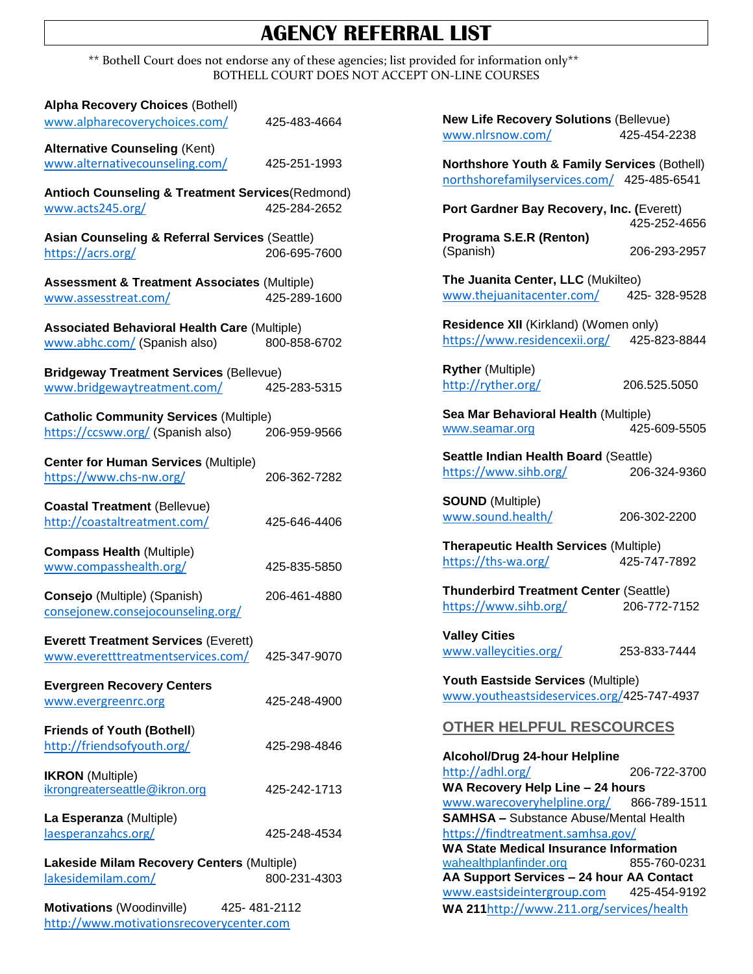# **AGENCY REFERRAL LIST**

\*\* Bothell Court does not endorse any of these agencies; list provided for information only\*\* BOTHELL COURT DOES NOT ACCEPT ON-LINE COURSES

| <b>Alpha Recovery Choices (Bothell)</b><br>www.alpharecoverychoices.com/                      | 425-483-4664 |
|-----------------------------------------------------------------------------------------------|--------------|
| <b>Alternative Counseling (Kent)</b><br>www.alternativecounseling.com/                        | 425-251-1993 |
| Antioch Counseling & Treatment Services(Redmond)<br>www.acts245.org/                          | 425-284-2652 |
| <b>Asian Counseling &amp; Referral Services (Seattle)</b><br>https://acrs.org/                | 206-695-7600 |
| <b>Assessment &amp; Treatment Associates (Multiple)</b><br>www.assesstreat.com/               | 425-289-1600 |
| <b>Associated Behavioral Health Care (Multiple)</b><br>www.abhc.com/ (Spanish also)           | 800-858-6702 |
| <b>Bridgeway Treatment Services (Bellevue)</b><br>www.bridgewaytreatment.com/                 | 425-283-5315 |
| <b>Catholic Community Services (Multiple)</b><br>https://ccsww.org/ (Spanish also)            | 206-959-9566 |
| <b>Center for Human Services (Multiple)</b><br>https://www.chs-nw.org/                        | 206-362-7282 |
| <b>Coastal Treatment (Bellevue)</b><br>http://coastaltreatment.com/                           | 425-646-4406 |
| <b>Compass Health (Multiple)</b><br>www.compasshealth.org/                                    | 425-835-5850 |
| Consejo (Multiple) (Spanish)<br>consejonew.consejocounseling.org/                             | 206-461-4880 |
| <b>Everett Treatment Services (Everett)</b><br>www.everetttreatmentservices.com/              | 425-347-9070 |
| <b>Evergreen Recovery Centers</b><br>www.evergreenrc.org                                      | 425-248-4900 |
| <b>Friends of Youth (Bothell)</b><br>http://friendsofyouth.org/                               | 425-298-4846 |
| <b>IKRON</b> (Multiple)<br>ikrongreaterseattle@ikron.org                                      | 425-242-1713 |
| La Esperanza (Multiple)<br>laesperanzahcs.org/                                                | 425-248-4534 |
| Lakeside Milam Recovery Centers (Multiple)<br>lakesidemilam.com/                              | 800-231-4303 |
| <b>Motivations</b> (Woodinville)<br>425- 481-2112<br>http://www.motivationsrecoverycenter.com |              |

**New Life Recovery Solutions** (Bellevue) [www.nlrsnow.com/](http://www.nlrsnow.com/) 425-454-2238

**Northshore Youth & Family Services** (Bothell) [northshorefamilyservices.com/](https://northshorefamilyservices.com/) 425-485-6541

**Port Gardner Bay Recovery, Inc. (**Everett) 425-252-4656

**Programa S.E.R (Renton)** (Spanish) 206-293-2957

**The Juanita Center, LLC** (Mukilteo) [www.thejuanitacenter.com/](http://www.thejuanitacenter.com/) 425- 328-9528

**Residence XII** (Kirkland) (Women only) <https://www.residencexii.org/> 425-823-8844

**Ryther** (Multiple) <http://ryther.org/> 206.525.5050

**Sea Mar Behavioral Health** (Multiple) [www.seamar.org](http://www.seamar.org/) 425-609-5505

**Seattle Indian Health Board** (Seattle) <https://www.sihb.org/> 206-324-9360

**SOUND** (Multiple) [www.sound.health/](http://www.sound.health/) 206-302-2200

**Therapeutic Health Services** (Multiple) <https://ths-wa.org/> 425-747-7892

**Thunderbird Treatment Center** (Seattle) <https://www.sihb.org/> 206-772-7152

**Valley Cities**  [www.valleycities.org/](http://www.valleycities.org/) 253-833-7444

**Youth Eastside Services** (Multiple) [www.youtheastsideservices.org/](http://www.youtheastsideservices.org/)425-747-4937

#### **OTHER HELPFUL RESCOURCES**

**Alcohol/Drug 24-hour Helpline** <http://adhl.org/> 206-722-3700 **WA Recovery Help Line – 24 hours**  [www.warecoveryhelpline.org/](http://www.warecoveryhelpline.org/) 866-789-1511 **SAMHSA –** Substance Abuse/Mental Health <https://findtreatment.samhsa.gov/> **WA State Medical Insurance Information** wahealthplanfinder.org 855-760-0231 **AA Support Services – 24 hour AA Contact** [www.eastsideintergroup.com](http://www.eastsideintergroup.com/) 425-454-9192 **WA 211**<http://www.211.org/services/health>